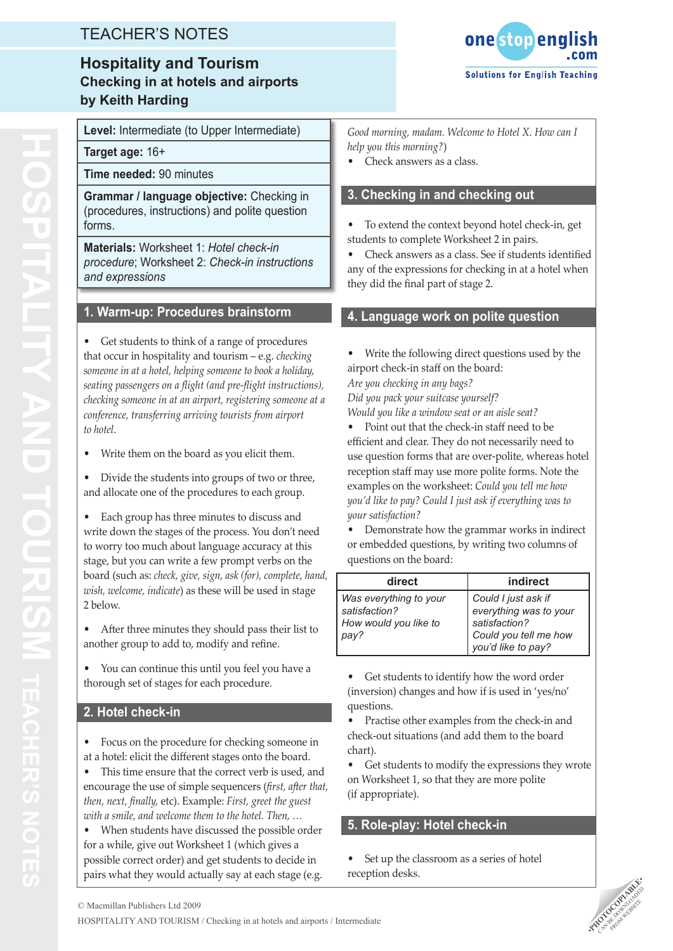# TEACHER'S NOTES

# **Hospitality and Tourism Checking in at hotels and airports by Keith Harding**



**Level:** Intermediate (to Upper Intermediate)

**Target age:** 16+

**Hospitality and tourism**

**OSPITALITY ANI** 

**R'S**

**Time needed:** 90 minutes

**Grammar / language objective:** Checking in (procedures, instructions) and polite question forms.

**Materials:** Worksheet 1: *Hotel check-in procedure*; Worksheet 2: *Check-in instructions and expressions*

### **1. Warm-up: Procedures brainstorm**

Get students to think of a range of procedures that occur in hospitality and tourism – e.g. *checking someone in at a hotel, helping someone to book a holiday, seating passengers on a flight (and pre-flight instructions), checking someone in at an airport, registering someone at a conference, transferring arriving tourists from airport to hotel*.

• Write them on the board as you elicit them.

Divide the students into groups of two or three, and allocate one of the procedures to each group.

• Each group has three minutes to discuss and write down the stages of the process. You don't need to worry too much about language accuracy at this stage, but you can write a few prompt verbs on the board (such as: *check, give, sign, ask (for), complete, hand, wish, welcome, indicate*) as these will be used in stage 2 below.

• After three minutes they should pass their list to another group to add to, modify and refine.

You can continue this until you feel you have a thorough set of stages for each procedure.

### **2. Hotel check-in**

Focus on the procedure for checking someone in at a hotel: elicit the different stages onto the board.

This time ensure that the correct verb is used, and encourage the use of simple sequencers (*first, after that, then, next, finally,* etc). Example: *First, greet the guest with a smile, and welcome them to the hotel. Then, …*

When students have discussed the possible order for a while, give out Worksheet 1 (which gives a possible correct order) and get students to decide in pairs what they would actually say at each stage (e.g. *Good morning, madam. Welcome to Hotel X. How can I help you this morning?*)

• Check answers as a class.

### **3. Checking in and checking out**

To extend the context beyond hotel check-in, get students to complete Worksheet 2 in pairs.

Check answers as a class. See if students identified any of the expressions for checking in at a hotel when they did the final part of stage 2.

### **4. Language work on polite question**

Write the following direct questions used by the airport check-in staff on the board: *Are you checking in any bags? Did you pack your suitcase yourself? Would you like a window seat or an aisle seat?*

• Point out that the check-in staff need to be efficient and clear. They do not necessarily need to use question forms that are over-polite, whereas hotel reception staff may use more polite forms. Note the examples on the worksheet: *Could you tell me how you'd like to pay? Could I just ask if everything was to your satisfaction?*

Demonstrate how the grammar works in indirect or embedded questions, by writing two columns of questions on the board:

| direct                                                           | indirect                                                       |
|------------------------------------------------------------------|----------------------------------------------------------------|
| Was everything to your<br>satisfaction?<br>How would you like to | Could I just ask if<br>everything was to your<br>satisfaction? |
| pay?                                                             | Could you tell me how<br>you'd like to pay?                    |

Get students to identify how the word order (inversion) changes and how if is used in 'yes/no' questions.

• Practise other examples from the check-in and check-out situations (and add them to the board chart).

Get students to modify the expressions they wrote on Worksheet 1, so that they are more polite (if appropriate).

### **5. Role-play: Hotel check-in**

Set up the classroom as a series of hotel reception desks.



HOSPITALITY AND TOURISM / Checking in at hotels and airports / Intermediate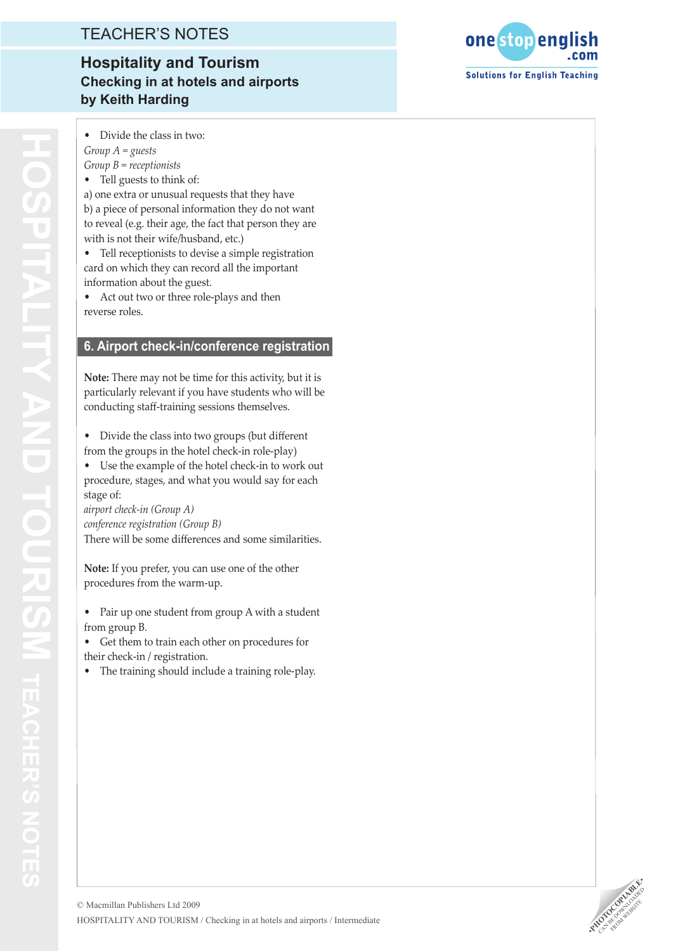## TEACHER'S NOTES

# **Hospitality and Tourism Checking in at hotels and airports by Keith Harding**

Divide the class in two: *Group A = guests Group B = receptionists*

• Tell guests to think of: a) one extra or unusual requests that they have b) a piece of personal information they do not want to reveal (e.g. their age, the fact that person they are

with is not their wife/husband, etc.) • Tell receptionists to devise a simple registration card on which they can record all the important information about the guest.

Act out two or three role-plays and then reverse roles.

### **6. Airport check-in/conference registration**

**Note:** There may not be time for this activity, but it is particularly relevant if you have students who will be conducting staff-training sessions themselves.

• Divide the class into two groups (but different from the groups in the hotel check-in role-play)

• Use the example of the hotel check-in to work out procedure, stages, and what you would say for each stage of:

*airport check-in (Group A) conference registration (Group B)* There will be some differences and some similarities.

**Note:** If you prefer, you can use one of the other procedures from the warm-up.

• Pair up one student from group A with a student from group B.

• Get them to train each other on procedures for their check-in / registration.

• The training should include a training role-play.

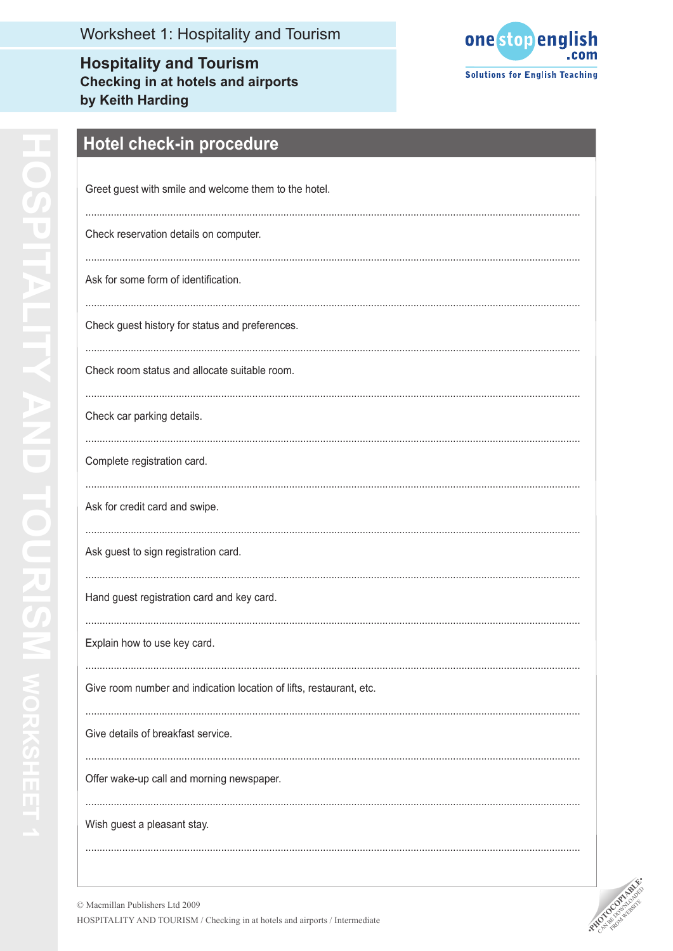**Hospitality and Tourism Checking in at hotels and airports** by Keith Harding



# **OSPITALITY AND TOURISM wORKSHEET1**

# Hotel check-in procedure

| Greet guest with smile and welcome them to the hotel.               |
|---------------------------------------------------------------------|
| Check reservation details on computer.                              |
| Ask for some form of identification.                                |
| Check guest history for status and preferences.                     |
| Check room status and allocate suitable room.                       |
| Check car parking details.                                          |
| Complete registration card.                                         |
| Ask for credit card and swipe.                                      |
| Ask guest to sign registration card.                                |
| Hand guest registration card and key card.                          |
| Explain how to use key card.                                        |
| Give room number and indication location of lifts, restaurant, etc. |
| Give details of breakfast service.                                  |
| Offer wake-up call and morning newspaper.                           |
| Wish guest a pleasant stay.                                         |
|                                                                     |